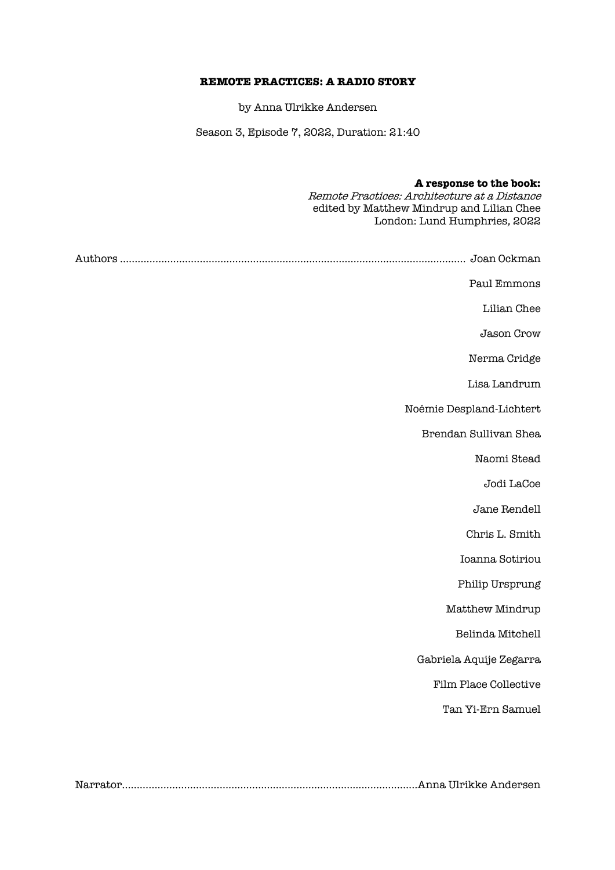# **REMOTE PRACTICES: A RADIO STORY**

by Anna Ulrikke Andersen

Season 3, Episode 7, 2022, Duration: 21:40

| A response to the book:<br>Remote Practices: Architecture at a Distance<br>edited by Matthew Mindrup and Lilian Chee<br>London: Lund Humphries, 2022 |
|------------------------------------------------------------------------------------------------------------------------------------------------------|
|                                                                                                                                                      |
| Paul Emmons                                                                                                                                          |
| Lilian Chee                                                                                                                                          |
| Jason Crow                                                                                                                                           |
| Nerma Cridge                                                                                                                                         |
| Lisa Landrum                                                                                                                                         |
| Noémie Despland-Lichtert                                                                                                                             |
| Brendan Sullivan Shea                                                                                                                                |
| Naomi Stead                                                                                                                                          |
| Jodi LaCoe                                                                                                                                           |
| Jane Rendell                                                                                                                                         |
| Chris L. Smith                                                                                                                                       |
| Ioanna Sotiriou                                                                                                                                      |
| Philip Ursprung                                                                                                                                      |
| Matthew Mindrup                                                                                                                                      |
| Belinda Mitchell                                                                                                                                     |
| Gabriela Aquije Zegarra                                                                                                                              |
| Film Place Collective                                                                                                                                |
| Tan Yi-Ern Samuel                                                                                                                                    |

Narrator……………………………………………………………………......................Anna Ulrikke Andersen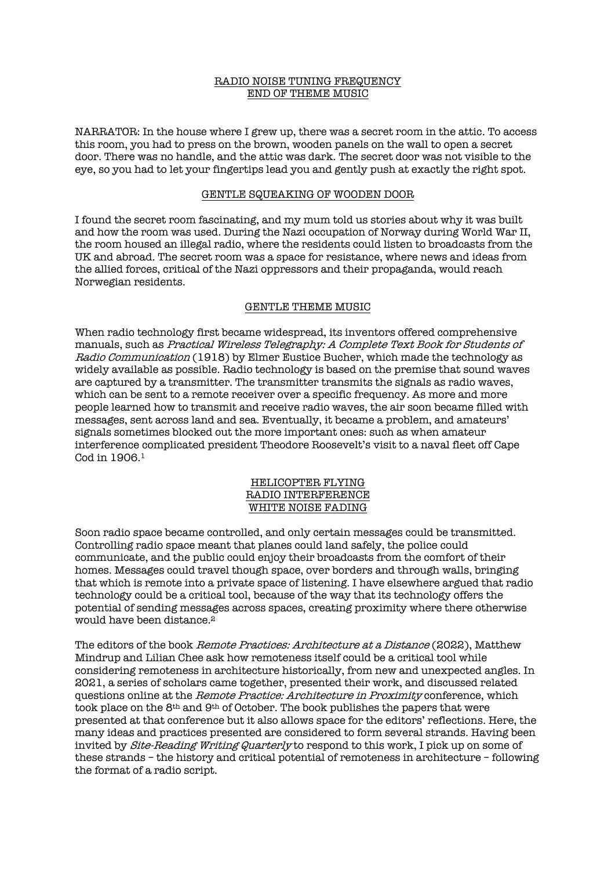## RADIO NOISE TUNING FREQUENCY END OF THEME MUSIC

NARRATOR: In the house where I grew up, there was a secret room in the attic. To access this room, you had to press on the brown, wooden panels on the wall to open a secret door. There was no handle, and the attic was dark. The secret door was not visible to the eye, so you had to let your fingertips lead you and gently push at exactly the right spot.

#### GENTLE SQUEAKING OF WOODEN DOOR

I found the secret room fascinating, and my mum told us stories about why it was built and how the room was used. During the Nazi occupation of Norway during World War II, the room housed an illegal radio, where the residents could listen to broadcasts from the UK and abroad. The secret room was a space for resistance, where news and ideas from the allied forces, critical of the Nazi oppressors and their propaganda, would reach Norwegian residents.

#### GENTLE THEME MUSIC

When radio technology first became widespread, its inventors offered comprehensive manuals, such as Practical Wireless Telegraphy: A Complete Text Book for Students of Radio Communication (1918) by Elmer Eustice Bucher, which made the technology as widely available as possible. Radio technology is based on the premise that sound waves are captured by a transmitter. The transmitter transmits the signals as radio waves, which can be sent to a remote receiver over a specific frequency. As more and more people learned how to transmit and receive radio waves, the air soon became filled with messages, sent across land and sea. Eventually, it became a problem, and amateurs' signals sometimes blocked out the more important ones: such as when amateur interference complicated president Theodore Roosevelt's visit to a naval fleet off Cape Cod in 1906.1

#### HELICOPTER FLYING RADIO INTERFERENCE WHITE NOISE FADING

Soon radio space became controlled, and only certain messages could be transmitted. Controlling radio space meant that planes could land safely, the police could communicate, and the public could enjoy their broadcasts from the comfort of their homes. Messages could travel though space, over borders and through walls, bringing that which is remote into a private space of listening. I have elsewhere argued that radio technology could be a critical tool, because of the way that its technology offers the potential of sending messages across spaces, creating proximity where there otherwise would have been distance.<sup>2</sup>

The editors of the book Remote Practices: Architecture at a Distance (2022), Matthew Mindrup and Lilian Chee ask how remoteness itself could be a critical tool while considering remoteness in architecture historically, from new and unexpected angles. In 2021, a series of scholars came together, presented their work, and discussed related questions online at the Remote Practice: Architecture in Proximity conference, which took place on the 8th and 9th of October. The book publishes the papers that were presented at that conference but it also allows space for the editors' reflections. Here, the many ideas and practices presented are considered to form several strands. Having been invited by Site-Reading Writing Quarterly to respond to this work, I pick up on some of these strands – the history and critical potential of remoteness in architecture – following the format of a radio script.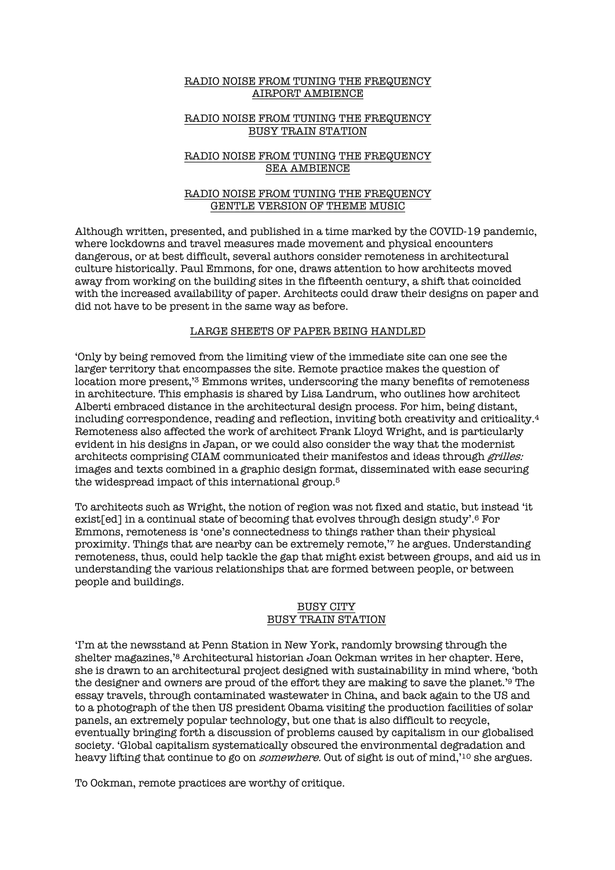#### RADIO NOISE FROM TUNING THE FREQUENCY AIRPORT AMBIENCE

## RADIO NOISE FROM TUNING THE FREQUENCY BUSY TRAIN STATION

# RADIO NOISE FROM TUNING THE FREQUENCY SEA AMBIENCE

## RADIO NOISE FROM TUNING THE FREQUENCY GENTLE VERSION OF THEME MUSIC

Although written, presented, and published in a time marked by the COVID-19 pandemic, where lockdowns and travel measures made movement and physical encounters dangerous, or at best difficult, several authors consider remoteness in architectural culture historically. Paul Emmons, for one, draws attention to how architects moved away from working on the building sites in the fifteenth century, a shift that coincided with the increased availability of paper. Architects could draw their designs on paper and did not have to be present in the same way as before.

# LARGE SHEETS OF PAPER BEING HANDLED

'Only by being removed from the limiting view of the immediate site can one see the larger territory that encompasses the site. Remote practice makes the question of location more present,'3 Emmons writes, underscoring the many benefits of remoteness in architecture. This emphasis is shared by Lisa Landrum, who outlines how architect Alberti embraced distance in the architectural design process. For him, being distant, including correspondence, reading and reflection, inviting both creativity and criticality.4 Remoteness also affected the work of architect Frank Lloyd Wright, and is particularly evident in his designs in Japan, or we could also consider the way that the modernist architects comprising CIAM communicated their manifestos and ideas through grilles: images and texts combined in a graphic design format, disseminated with ease securing the widespread impact of this international group.5

To architects such as Wright, the notion of region was not fixed and static, but instead 'it exist[ed] in a continual state of becoming that evolves through design study'.6 For Emmons, remoteness is 'one's connectedness to things rather than their physical proximity. Things that are nearby can be extremely remote,'7 he argues. Understanding remoteness, thus, could help tackle the gap that might exist between groups, and aid us in understanding the various relationships that are formed between people, or between people and buildings.

# BUSY CITY BUSY TRAIN STATION

'I'm at the newsstand at Penn Station in New York, randomly browsing through the shelter magazines,'8 Architectural historian Joan Ockman writes in her chapter. Here, she is drawn to an architectural project designed with sustainability in mind where, 'both the designer and owners are proud of the effort they are making to save the planet.'9 The essay travels, through contaminated wastewater in China, and back again to the US and to a photograph of the then US president Obama visiting the production facilities of solar panels, an extremely popular technology, but one that is also difficult to recycle, eventually bringing forth a discussion of problems caused by capitalism in our globalised society. 'Global capitalism systematically obscured the environmental degradation and heavy lifting that continue to go on *somewhere*. Out of sight is out of mind,'<sup>10</sup> she argues.

To Ockman, remote practices are worthy of critique.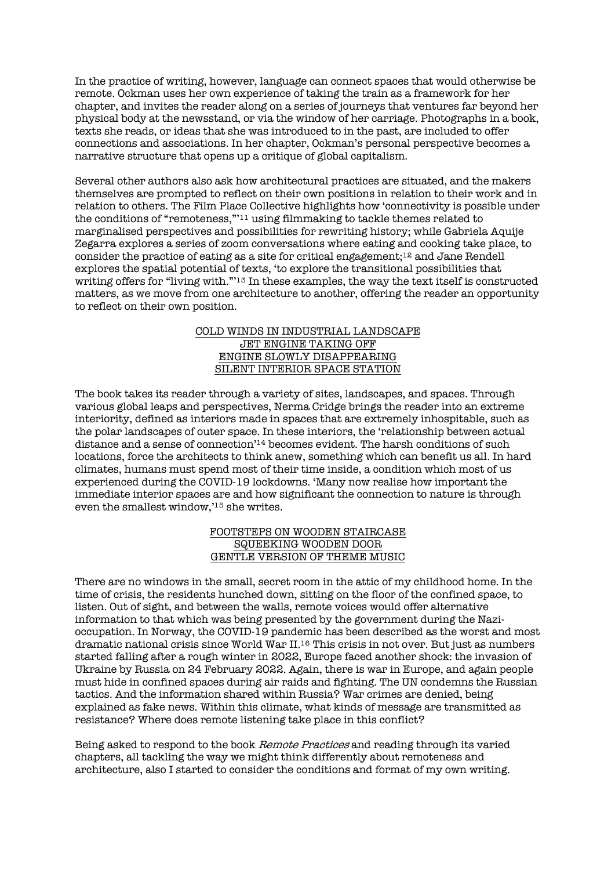In the practice of writing, however, language can connect spaces that would otherwise be remote. Ockman uses her own experience of taking the train as a framework for her chapter, and invites the reader along on a series of journeys that ventures far beyond her physical body at the newsstand, or via the window of her carriage. Photographs in a book, texts she reads, or ideas that she was introduced to in the past, are included to offer connections and associations. In her chapter, Ockman's personal perspective becomes a narrative structure that opens up a critique of global capitalism.

Several other authors also ask how architectural practices are situated, and the makers themselves are prompted to reflect on their own positions in relation to their work and in relation to others. The Film Place Collective highlights how 'connectivity is possible under the conditions of "remoteness,"'11 using filmmaking to tackle themes related to marginalised perspectives and possibilities for rewriting history; while Gabriela Aquije Zegarra explores a series of zoom conversations where eating and cooking take place, to consider the practice of eating as a site for critical engagement;12 and Jane Rendell explores the spatial potential of texts, 'to explore the transitional possibilities that writing offers for "living with."'13 In these examples, the way the text itself is constructed matters, as we move from one architecture to another, offering the reader an opportunity to reflect on their own position.

# COLD WINDS IN INDUSTRIAL LANDSCAPE JET ENGINE TAKING OFF ENGINE SLOWLY DISAPPEARING SILENT INTERIOR SPACE STATION

The book takes its reader through a variety of sites, landscapes, and spaces. Through various global leaps and perspectives, Nerma Cridge brings the reader into an extreme interiority, defined as interiors made in spaces that are extremely inhospitable, such as the polar landscapes of outer space. In these interiors, the 'relationship between actual distance and a sense of connection'14 becomes evident. The harsh conditions of such locations, force the architects to think anew, something which can benefit us all. In hard climates, humans must spend most of their time inside, a condition which most of us experienced during the COVID-19 lockdowns. 'Many now realise how important the immediate interior spaces are and how significant the connection to nature is through even the smallest window,'15 she writes.

# FOOTSTEPS ON WOODEN STAIRCASE SQUEEKING WOODEN DOOR GENTLE VERSION OF THEME MUSIC

There are no windows in the small, secret room in the attic of my childhood home. In the time of crisis, the residents hunched down, sitting on the floor of the confined space, to listen. Out of sight, and between the walls, remote voices would offer alternative information to that which was being presented by the government during the Nazioccupation. In Norway, the COVID-19 pandemic has been described as the worst and most dramatic national crisis since World War II.16 This crisis in not over. But just as numbers started falling after a rough winter in 2022, Europe faced another shock: the invasion of Ukraine by Russia on 24 February 2022. Again, there is war in Europe, and again people must hide in confined spaces during air raids and fighting. The UN condemns the Russian tactics. And the information shared within Russia? War crimes are denied, being explained as fake news. Within this climate, what kinds of message are transmitted as resistance? Where does remote listening take place in this conflict?

Being asked to respond to the book Remote Practices and reading through its varied chapters, all tackling the way we might think differently about remoteness and architecture, also I started to consider the conditions and format of my own writing.